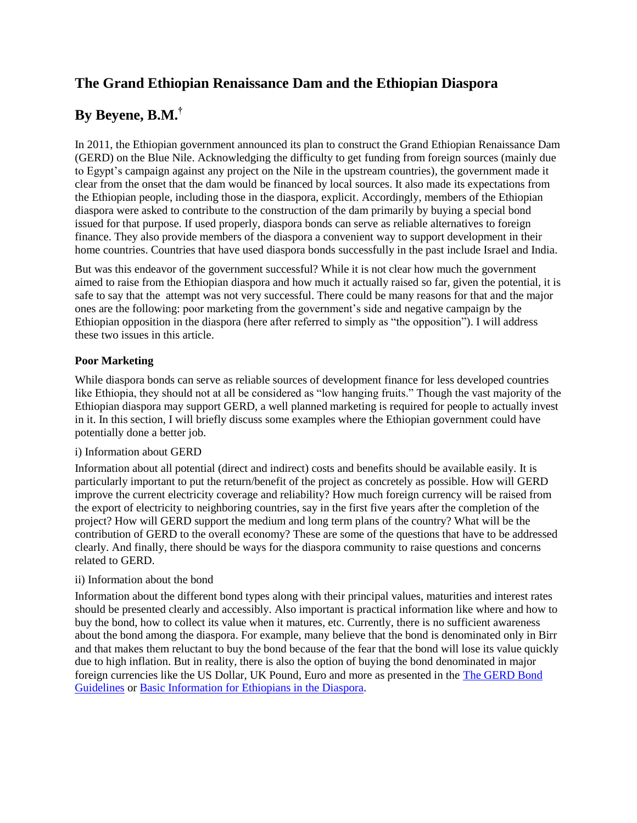## **The Grand Ethiopian Renaissance Dam and the Ethiopian Diaspora**

# **By Beyene, B.M.†**

In 2011, the Ethiopian government announced its plan to construct the Grand Ethiopian Renaissance Dam (GERD) on the Blue Nile. Acknowledging the difficulty to get funding from foreign sources (mainly due to Egypt's campaign against any project on the Nile in the upstream countries), the government made it clear from the onset that the dam would be financed by local sources. It also made its expectations from the Ethiopian people, including those in the diaspora, explicit. Accordingly, members of the Ethiopian diaspora were asked to contribute to the construction of the dam primarily by buying a special bond issued for that purpose. If used properly, diaspora bonds can serve as reliable alternatives to foreign finance. They also provide members of the diaspora a convenient way to support development in their home countries. Countries that have used diaspora bonds successfully in the past include Israel and India.

But was this endeavor of the government successful? While it is not clear how much the government aimed to raise from the Ethiopian diaspora and how much it actually raised so far, given the potential, it is safe to say that the attempt was not very successful. There could be many reasons for that and the major ones are the following: poor marketing from the government's side and negative campaign by the Ethiopian opposition in the diaspora (here after referred to simply as "the opposition"). I will address these two issues in this article.

## **Poor Marketing**

While diaspora bonds can serve as reliable sources of development finance for less developed countries like Ethiopia, they should not at all be considered as "low hanging fruits." Though the vast majority of the Ethiopian diaspora may support GERD, a well planned marketing is required for people to actually invest in it. In this section, I will briefly discuss some examples where the Ethiopian government could have potentially done a better job.

#### i) Information about GERD

Information about all potential (direct and indirect) costs and benefits should be available easily. It is particularly important to put the return/benefit of the project as concretely as possible. How will GERD improve the current electricity coverage and reliability? How much foreign currency will be raised from the export of electricity to neighboring countries, say in the first five years after the completion of the project? How will GERD support the medium and long term plans of the country? What will be the contribution of GERD to the overall economy? These are some of the questions that have to be addressed clearly. And finally, there should be ways for the diaspora community to raise questions and concerns related to GERD.

## ii) Information about the bond

Information about the different bond types along with their principal values, maturities and interest rates should be presented clearly and accessibly. Also important is practical information like where and how to buy the bond, how to collect its value when it matures, etc. Currently, there is no sufficient awareness about the bond among the diaspora. For example, many believe that the bond is denominated only in Birr and that makes them reluctant to buy the bond because of the fear that the bond will lose its value quickly due to high inflation. But in reality, there is also the option of buying the bond denominated in major foreign currencies like the US Dollar, UK Pound, Euro and more as presented in the [The GERD](http://www.ethdiaspora.org.et/index.php/dea-dg/ittc/gerdbond/item/106-the-gerd-bond-guidelines) Bond [Guidelines](http://www.ethdiaspora.org.et/index.php/dea-dg/ittc/gerdbond/item/106-the-gerd-bond-guidelines) or [Basic Information for Ethiopians in the](http://www.ethiopianembassy.org/pdf/doc-information-book-diaspora-2012.pdf) Diaspora.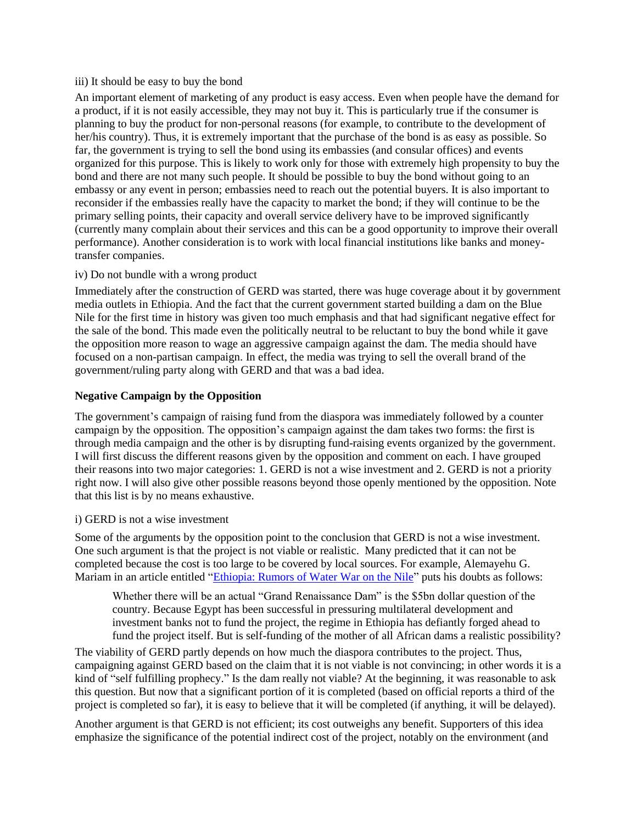#### iii) It should be easy to buy the bond

An important element of marketing of any product is easy access. Even when people have the demand for a product, if it is not easily accessible, they may not buy it. This is particularly true if the consumer is planning to buy the product for non-personal reasons (for example, to contribute to the development of her/his country). Thus, it is extremely important that the purchase of the bond is as easy as possible. So far, the government is trying to sell the bond using its embassies (and consular offices) and events organized for this purpose. This is likely to work only for those with extremely high propensity to buy the bond and there are not many such people. It should be possible to buy the bond without going to an embassy or any event in person; embassies need to reach out the potential buyers. It is also important to reconsider if the embassies really have the capacity to market the bond; if they will continue to be the primary selling points, their capacity and overall service delivery have to be improved significantly (currently many complain about their services and this can be a good opportunity to improve their overall performance). Another consideration is to work with local financial institutions like banks and moneytransfer companies.

#### iv) Do not bundle with a wrong product

Immediately after the construction of GERD was started, there was huge coverage about it by government media outlets in Ethiopia. And the fact that the current government started building a dam on the Blue Nile for the first time in history was given too much emphasis and that had significant negative effect for the sale of the bond. This made even the politically neutral to be reluctant to buy the bond while it gave the opposition more reason to wage an aggressive campaign against the dam. The media should have focused on a non-partisan campaign. In effect, the media was trying to sell the overall brand of the government/ruling party along with GERD and that was a bad idea.

### **Negative Campaign by the Opposition**

The government's campaign of raising fund from the diaspora was immediately followed by a counter campaign by the opposition. The opposition's campaign against the dam takes two forms: the first is through media campaign and the other is by disrupting fund-raising events organized by the government. I will first discuss the different reasons given by the opposition and comment on each. I have grouped their reasons into two major categories: 1. GERD is not a wise investment and 2. GERD is not a priority right now. I will also give other possible reasons beyond those openly mentioned by the opposition. Note that this list is by no means exhaustive.

#### i) GERD is not a wise investment

Some of the arguments by the opposition point to the conclusion that GERD is not a wise investment. One such argument is that the project is not viable or realistic. Many predicted that it can not be completed because the cost is too large to be covered by local sources. For example, Alemayehu G. Mariam in an article entitled ["Ethiopia: Rumors of Water War on the Nile"](http://www.ethiomedia.com/addis/5716.html) puts his doubts as follows:

Whether there will be an actual "Grand Renaissance Dam" is the \$5bn dollar question of the country. Because Egypt has been successful in pressuring multilateral development and investment banks not to fund the project, the regime in Ethiopia has defiantly forged ahead to fund the project itself. But is self-funding of the mother of all African dams a realistic possibility?

The viability of GERD partly depends on how much the diaspora contributes to the project. Thus, campaigning against GERD based on the claim that it is not viable is not convincing; in other words it is a kind of "self fulfilling prophecy." Is the dam really not viable? At the beginning, it was reasonable to ask this question. But now that a significant portion of it is completed (based on official reports a third of the project is completed so far), it is easy to believe that it will be completed (if anything, it will be delayed).

Another argument is that GERD is not efficient; its cost outweighs any benefit. Supporters of this idea emphasize the significance of the potential indirect cost of the project, notably on the environment (and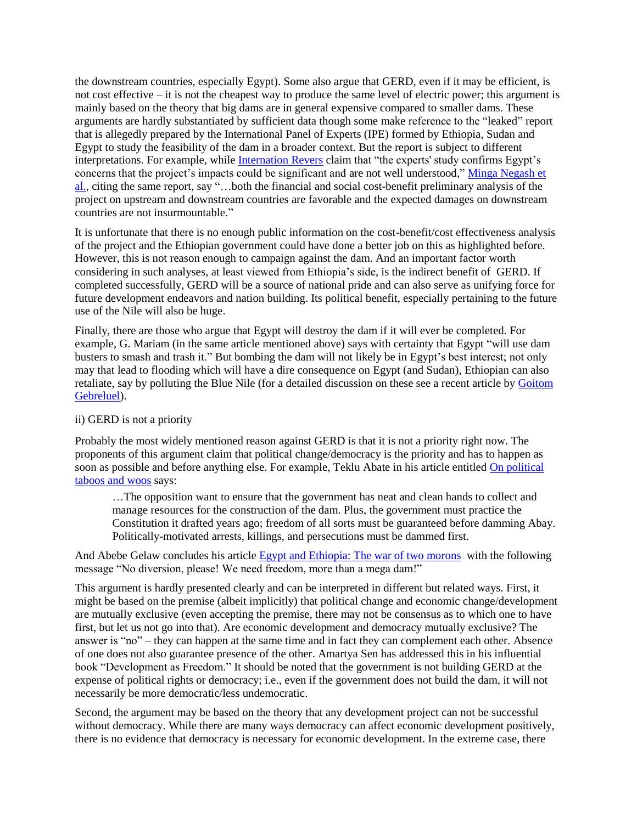the downstream countries, especially Egypt). Some also argue that GERD, even if it may be efficient, is not cost effective – it is not the cheapest way to produce the same level of electric power; this argument is mainly based on the theory that big dams are in general expensive compared to smaller dams. These arguments are hardly substantiated by sufficient data though some make reference to the "leaked" report that is allegedly prepared by the International Panel of Experts (IPE) formed by Ethiopia, Sudan and Egypt to study the feasibility of the dam in a broader context. But the report is subject to different interpretations. For example, while [Internation Revers](http://www.internationalrivers.org/gerd-panel-of-experts-report-big-questions-remain) claim that "the experts' study confirms Egypt's concerns that the project's impacts could be significant and are not well understood," [Minga Negash et](http://www.ethiomedia.com/16file/misplaced_opposition_to_the_grand_ethiopian_renaissance_dam.html)  [al.,](http://www.ethiomedia.com/16file/misplaced_opposition_to_the_grand_ethiopian_renaissance_dam.html) citing the same report, say "…both the financial and social cost-benefit preliminary analysis of the project on upstream and downstream countries are favorable and the expected damages on downstream countries are not insurmountable."

It is unfortunate that there is no enough public information on the cost-benefit/cost effectiveness analysis of the project and the Ethiopian government could have done a better job on this as highlighted before. However, this is not reason enough to campaign against the dam. And an important factor worth considering in such analyses, at least viewed from Ethiopia's side, is the indirect benefit of GERD. If completed successfully, GERD will be a source of national pride and can also serve as unifying force for future development endeavors and nation building. Its political benefit, especially pertaining to the future use of the Nile will also be huge.

Finally, there are those who argue that Egypt will destroy the dam if it will ever be completed. For example, G. Mariam (in the same article mentioned above) says with certainty that Egypt "will use dam busters to smash and trash it." But bombing the dam will not likely be in Egypt's best interest; not only may that lead to flooding which will have a dire consequence on Egypt (and Sudan), Ethiopian can also retaliate, say by polluting the Blue Nile (for a detailed discussion on these see a recent article by [Goitom](http://twq.elliott.gwu.edu/ethiopia%E2%80%99s-grand-renaissance-dam-ending-africa%E2%80%99s-oldest-geopolitical-rivalry)  [Gebreluel\)](http://twq.elliott.gwu.edu/ethiopia%E2%80%99s-grand-renaissance-dam-ending-africa%E2%80%99s-oldest-geopolitical-rivalry).

#### ii) GERD is not a priority

Probably the most widely mentioned reason against GERD is that it is not a priority right now. The proponents of this argument claim that political change/democracy is the priority and has to happen as soon as possible and before anything else. For example, Teklu Abate in his article entitled **On political** [taboos and woos](http://www.ethiomedia.com/abc_text/4129.html) says:

…The opposition want to ensure that the government has neat and clean hands to collect and manage resources for the construction of the dam. Plus, the government must practice the Constitution it drafted years ago; freedom of all sorts must be guaranteed before damming Abay. Politically-motivated arrests, killings, and persecutions must be dammed first.

And Abebe Gelaw concludes his article [Egypt and Ethiopia: The war of two morons](http://addisvoice.com/2013/06/egypt-ethiopia-the-war-of-two-morons/) with the following message "No diversion, please! We need freedom, more than a mega dam!"

This argument is hardly presented clearly and can be interpreted in different but related ways. First, it might be based on the premise (albeit implicitly) that political change and economic change/development are mutually exclusive (even accepting the premise, there may not be consensus as to which one to have first, but let us not go into that). Are economic development and democracy mutually exclusive? The answer is "no" – they can happen at the same time and in fact they can complement each other. Absence of one does not also guarantee presence of the other. Amartya Sen has addressed this in his influential book "Development as Freedom." It should be noted that the government is not building GERD at the expense of political rights or democracy; i.e., even if the government does not build the dam, it will not necessarily be more democratic/less undemocratic.

Second, the argument may be based on the theory that any development project can not be successful without democracy. While there are many ways democracy can affect economic development positively, there is no evidence that democracy is necessary for economic development. In the extreme case, there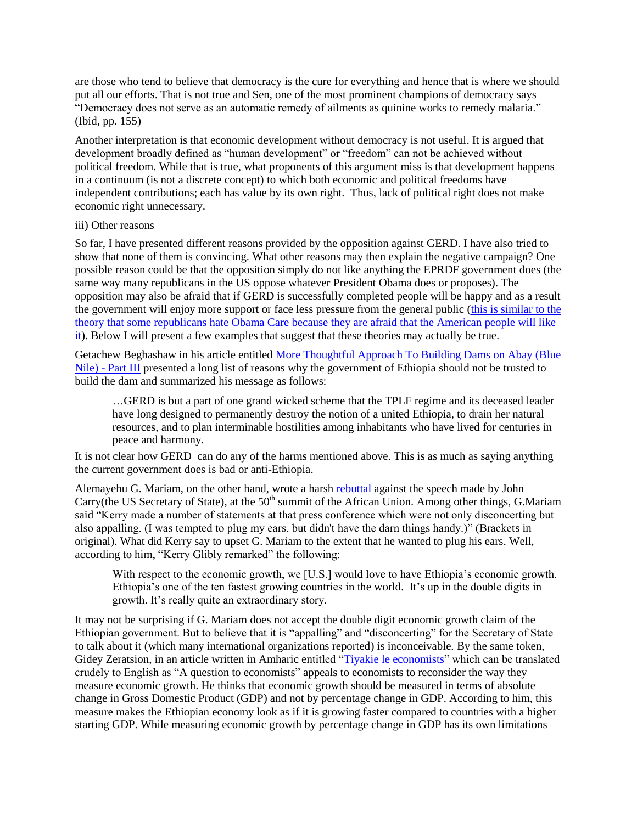are those who tend to believe that democracy is the cure for everything and hence that is where we should put all our efforts. That is not true and Sen, one of the most prominent champions of democracy says "Democracy does not serve as an automatic remedy of ailments as quinine works to remedy malaria." (Ibid, pp. 155)

Another interpretation is that economic development without democracy is not useful. It is argued that development broadly defined as "human development" or "freedom" can not be achieved without political freedom. While that is true, what proponents of this argument miss is that development happens in a continuum (is not a discrete concept) to which both economic and political freedoms have independent contributions; each has value by its own right. Thus, lack of political right does not make economic right unnecessary.

#### iii) Other reasons

So far, I have presented different reasons provided by the opposition against GERD. I have also tried to show that none of them is convincing. What other reasons may then explain the negative campaign? One possible reason could be that the opposition simply do not like anything the EPRDF government does (the same way many republicans in the US oppose whatever President Obama does or proposes). The opposition may also be afraid that if GERD is successfully completed people will be happy and as a result the government will enjoy more support or face less pressure from the general public [\(this is similar to the](http://www.businessinsider.com/why-republicans-hate-obamacare-2013-10)  [theory that some republicans hate Obama Care because they are afraid that the American people will like](http://www.businessinsider.com/why-republicans-hate-obamacare-2013-10)  [it\)](http://www.businessinsider.com/why-republicans-hate-obamacare-2013-10). Below I will present a few examples that suggest that these theories may actually be true.

Getachew Beghashaw in his article entitled [More Thoughtful Approach To Building Dams on Abay \(Blue](http://www.ethiomedia.com/17file/2427.html)  Nile) - [Part III](http://www.ethiomedia.com/17file/2427.html) presented a long list of reasons why the government of Ethiopia should not be trusted to build the dam and summarized his message as follows:

…GERD is but a part of one grand wicked scheme that the TPLF regime and its deceased leader have long designed to permanently destroy the notion of a united Ethiopia, to drain her natural resources, and to plan interminable hostilities among inhabitants who have lived for centuries in peace and harmony.

It is not clear how GERD can do any of the harms mentioned above. This is as much as saying anything the current government does is bad or anti-Ethiopia.

Alemayehu G. Mariam, on the other hand, wrote a harsh [rebuttal](http://www.ethiomedia.com/abc_text/4188.html) against the speech made by John Carry(the US Secretary of State), at the  $50<sup>th</sup>$  summit of the African Union. Among other things, G.Mariam said "Kerry made a number of statements at that press conference which were not only disconcerting but also appalling. (I was tempted to plug my ears, but didn't have the darn things handy.)" (Brackets in original). What did Kerry say to upset G. Mariam to the extent that he wanted to plug his ears. Well, according to him, "Kerry Glibly remarked" the following:

With respect to the economic growth, we [U.S.] would love to have Ethiopia's economic growth. Ethiopia's one of the ten fastest growing countries in the world. It's up in the double digits in growth. It's really quite an extraordinary story.

It may not be surprising if G. Mariam does not accept the double digit economic growth claim of the Ethiopian government. But to believe that it is "appalling" and "disconcerting" for the Secretary of State to talk about it (which many international organizations reported) is inconceivable. By the same token, Gidey Zeratsion, in an article written in Amharic entitled ["Tiyakie le economists"](http://www.ethiomedia.com/2013report/questions_to_economists.pdf) which can be translated crudely to English as "A question to economists" appeals to economists to reconsider the way they measure economic growth. He thinks that economic growth should be measured in terms of absolute change in Gross Domestic Product (GDP) and not by percentage change in GDP. According to him, this measure makes the Ethiopian economy look as if it is growing faster compared to countries with a higher starting GDP. While measuring economic growth by percentage change in GDP has its own limitations